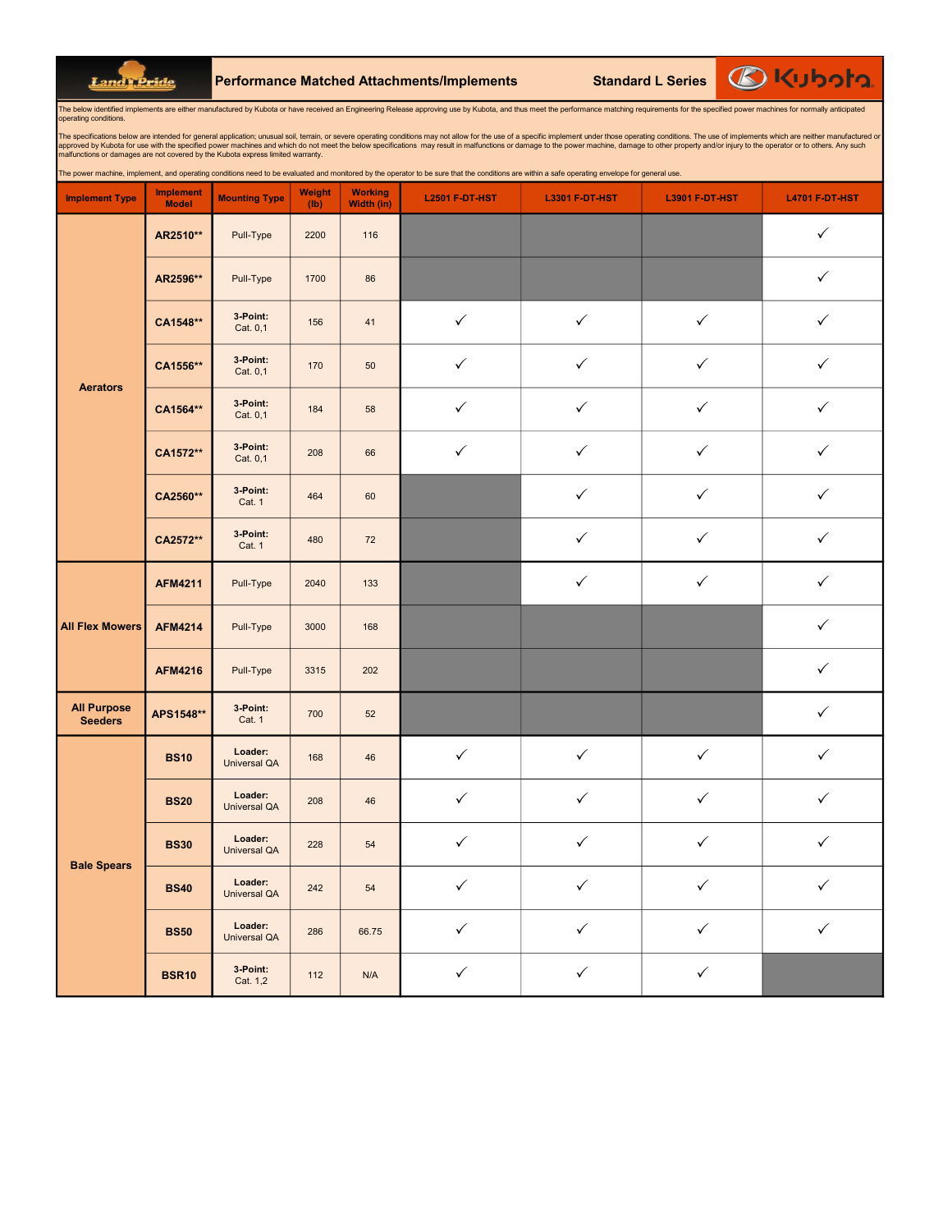Land Pride

Performance Matched Attachments/Implements Standard L Series

**BKubota** 

The below identified implements are either manufactured by Kubota or have received an Engineering Release approving use by Kubota, and thus meet the performance matching requirements for the specified power machines for no operating conditions.

The specifications below are intended for general application; unusual soil, terrain, or severe operating conditions may not allow for the use of a specific implement under those operating conditions. The use of implements

nd operating conditions need to be evaluated and monitored by the operator to be sure that the conditions are within a safe operating envelope for g

| <b>Implement Type</b>                | <b>Implement</b><br><b>Model</b> | <b>Mounting Type</b>           | <b>Weight</b><br>(lb) | <b>Working</b><br>Width (in) | <b>L2501 F-DT-HST</b> | <b>L3301 F-DT-HST</b> | <b>L3901 F-DT-HST</b> | <b>L4701 F-DT-HST</b> |
|--------------------------------------|----------------------------------|--------------------------------|-----------------------|------------------------------|-----------------------|-----------------------|-----------------------|-----------------------|
|                                      | AR2510**                         | Pull-Type                      | 2200                  | 116                          |                       |                       |                       | $\checkmark$          |
|                                      | AR2596**                         | Pull-Type                      | 1700                  | 86                           |                       |                       |                       | $\checkmark$          |
|                                      | CA1548**                         | 3 Point:<br>Cat. 0,1           | 156                   | 41                           | $\checkmark$          | $\checkmark$          | $\checkmark$          | ✓                     |
|                                      | CA1556**                         | 3-Point:<br>Cat. 0,1           | 170                   | 50                           | $\checkmark$          | $\checkmark$          | $\checkmark$          | $\checkmark$          |
| <b>Aerators</b>                      | CA1564**                         | 3 Point:<br>Cat. 0,1           | 184                   | 58                           | $\checkmark$          | $\checkmark$          | $\checkmark$          | $\checkmark$          |
|                                      | CA1572**                         | 3-Point:<br>Cat. 0,1           | 208                   | 66                           | $\checkmark$          | $\checkmark$          | $\checkmark$          | ✓                     |
|                                      | CA2560**                         | 3-Point:<br>Cat. 1             | 464                   | 60                           |                       | $\checkmark$          | $\checkmark$          | $\checkmark$          |
|                                      | CA2572**                         | 3-Point:<br>Cat. 1             | 480                   | 72                           |                       | $\checkmark$          | $\checkmark$          | $\checkmark$          |
|                                      | <b>AFM4211</b>                   | Pull-Type                      | 2040                  | 133                          |                       | $\checkmark$          | $\checkmark$          | ✓                     |
| <b>All Flex Mowers</b>               | <b>AFM4214</b>                   | Pull-Type                      | 3000                  | 168                          |                       |                       |                       | $\checkmark$          |
|                                      | <b>AFM4216</b>                   | Pull-Type                      | 3315                  | 202                          |                       |                       |                       | $\checkmark$          |
| <b>All Purpose</b><br><b>Seeders</b> | APS1548**                        | 3-Point:<br>Cat. 1             | 700                   | 52                           |                       |                       |                       | ✓                     |
|                                      | <b>BS10</b>                      | Loader:<br><b>Universal QA</b> | 168                   | 46                           | $\checkmark$          | $\checkmark$          | $\checkmark$          | $\checkmark$          |
|                                      | <b>BS20</b>                      | Loader:<br><b>Universal QA</b> | 208                   | 46                           | $\checkmark$          | $\checkmark$          | $\checkmark$          | $\checkmark$          |
|                                      | <b>BS30</b>                      | Loader:<br><b>Universal QA</b> | 228                   | 54                           | $\checkmark$          | $\checkmark$          | $\checkmark$          | $\checkmark$          |
| <b>Bale Spears</b>                   | <b>BS40</b>                      | Loader:<br><b>Universal QA</b> | 242                   | 54                           | $\checkmark$          | $\checkmark$          | $\checkmark$          | $\checkmark$          |
|                                      | <b>BS50</b>                      | Loader:<br><b>Universal QA</b> | 286                   | 66.75                        | $\checkmark$          | $\checkmark$          | $\checkmark$          | $\checkmark$          |
|                                      | <b>BSR10</b>                     | 3 Point:<br>Cat. 1,2           | 112                   | N/A                          | $\checkmark$          | $\checkmark$          | $\checkmark$          |                       |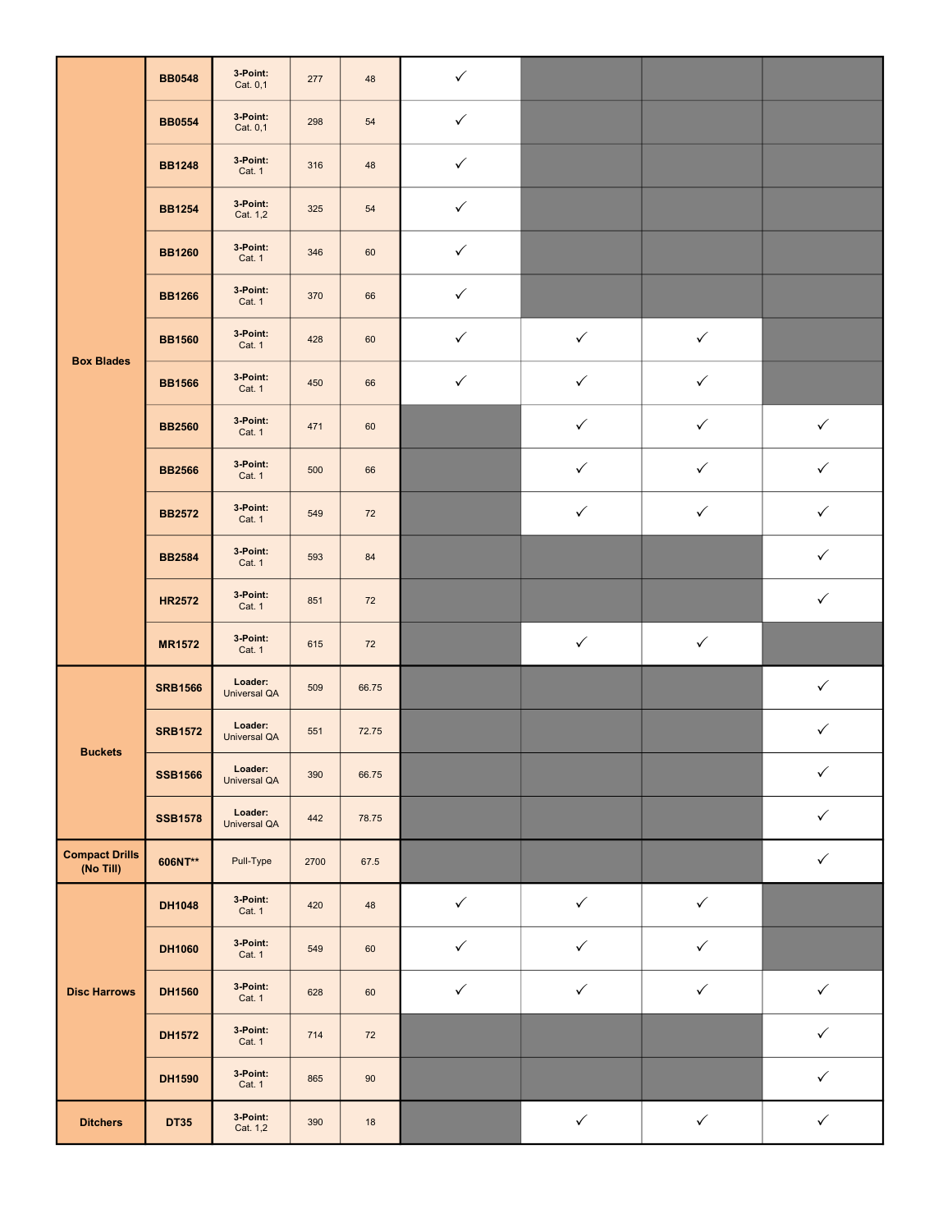|                                    | <b>BB0548</b>  | 3-Point:<br>Cat. 0,1           | 277  | 48     | $\checkmark$ |              |              |              |
|------------------------------------|----------------|--------------------------------|------|--------|--------------|--------------|--------------|--------------|
|                                    | <b>BB0554</b>  | 3-Point:<br>Cat. 0,1           | 298  | 54     | $\checkmark$ |              |              |              |
|                                    | <b>BB1248</b>  | 3-Point:<br>Cat. 1             | 316  | 48     | $\checkmark$ |              |              |              |
|                                    | <b>BB1254</b>  | 3-Point:<br>Cat. 1,2           | 325  | 54     | $\checkmark$ |              |              |              |
|                                    | <b>BB1260</b>  | 3 Point:<br><b>Cat. 1</b>      | 346  | 60     | $\checkmark$ |              |              |              |
|                                    | <b>BB1266</b>  | 3-Point:<br>Cat. 1             | 370  | 66     | $\checkmark$ |              |              |              |
| <b>Box Blades</b>                  | <b>BB1560</b>  | 3-Point:<br><b>Cat. 1</b>      | 428  | 60     | $\checkmark$ | $\checkmark$ | $\checkmark$ |              |
|                                    | <b>BB1566</b>  | 3 Point:<br><b>Cat. 1</b>      | 450  | 66     | $\checkmark$ | $\checkmark$ | $\checkmark$ |              |
|                                    | <b>BB2560</b>  | 3 Point:<br>Cat. 1             | 471  | 60     |              | $\checkmark$ | $\checkmark$ | $\checkmark$ |
|                                    | <b>BB2566</b>  | 3-Point:<br><b>Cat. 1</b>      | 500  | 66     |              | $\checkmark$ | $\checkmark$ | $\checkmark$ |
|                                    | <b>BB2572</b>  | 3 Point:<br>Cat. 1             | 549  | 72     |              | $\checkmark$ | $\checkmark$ | $\checkmark$ |
|                                    | <b>BB2584</b>  | 3-Point:<br>Cat. 1             | 593  | 84     |              |              |              | $\checkmark$ |
|                                    | <b>HR2572</b>  | 3-Point:<br>Cat. 1             | 851  | 72     |              |              |              | $\checkmark$ |
|                                    | <b>MR1572</b>  | 3 Point:<br>Cat. 1             | 615  | 72     |              | $\checkmark$ | $\checkmark$ |              |
|                                    | <b>SRB1566</b> | Loader:<br><b>Universal QA</b> | 509  | 66.75  |              |              |              | $\checkmark$ |
| <b>Buckets</b>                     | <b>SRB1572</b> | Loader:<br><b>Universal QA</b> | 551  | 72.75  |              |              |              | $\checkmark$ |
|                                    | <b>SSB1566</b> | Loader:<br><b>Universal QA</b> | 390  | 66.75  |              |              |              | $\checkmark$ |
|                                    | <b>SSB1578</b> | Loader:<br>Universal QA        | 442  | 78.75  |              |              |              | $\checkmark$ |
| <b>Compact Drills</b><br>(No Till) | 606NT**        | Pull-Type                      | 2700 | 67.5   |              |              |              | $\checkmark$ |
|                                    | <b>DH1048</b>  | 3 Point:<br>Cat. 1             | 420  | 48     | $\checkmark$ | $\checkmark$ | $\checkmark$ |              |
|                                    | <b>DH1060</b>  | 3-Point:<br>Cat. 1             | 549  | 60     | $\checkmark$ | $\checkmark$ | $\checkmark$ |              |
| <b>Disc Harrows</b>                | <b>DH1560</b>  | 3 Point:<br>Cat. 1             | 628  | 60     | $\checkmark$ | $\checkmark$ | $\checkmark$ | $\checkmark$ |
|                                    | DH1572         | 3 Point:<br>Cat. 1             | 714  | 72     |              |              |              | $\checkmark$ |
|                                    | DH1590         | 3-Point:<br>Cat. 1             | 865  | $90\,$ |              |              |              | $\checkmark$ |
| <b>Ditchers</b>                    | <b>DT35</b>    | 3-Point:<br>Cat. 1,2           | 390  | $18$   |              | $\checkmark$ | $\checkmark$ | $\checkmark$ |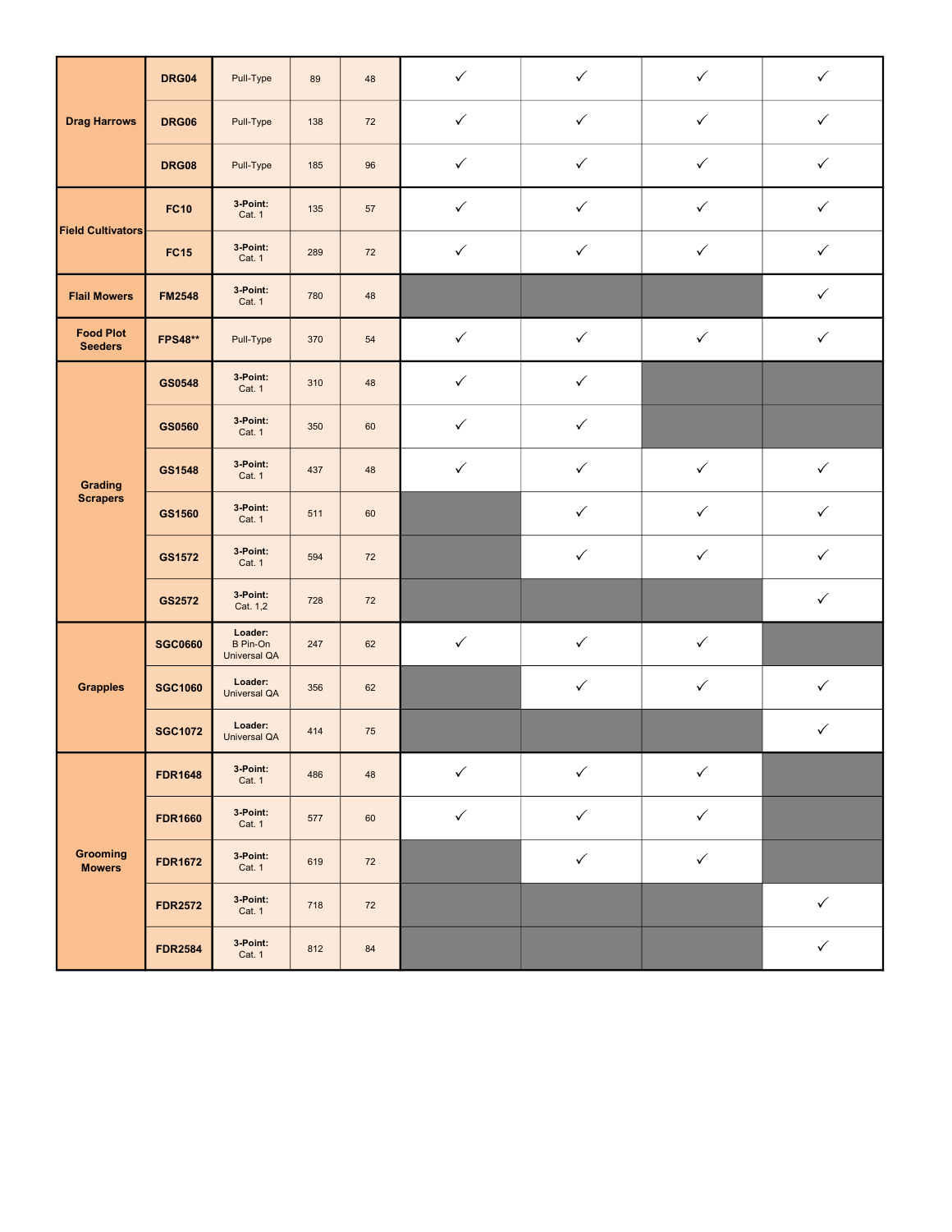|                                    | DRG04          | Pull-Type                                  | 89  | 48     | $\checkmark$ | $\checkmark$ | $\checkmark$ | $\checkmark$ |
|------------------------------------|----------------|--------------------------------------------|-----|--------|--------------|--------------|--------------|--------------|
| <b>Drag Harrows</b>                | <b>DRG06</b>   | Pull-Type                                  | 138 | 72     | $\checkmark$ | $\checkmark$ | $\checkmark$ | $\checkmark$ |
|                                    | <b>DRG08</b>   | Pull-Type                                  | 185 | 96     | $\checkmark$ | $\checkmark$ | $\checkmark$ | ✓            |
| <b>Field Cultivators</b>           | <b>FC10</b>    | 3-Point:<br>Cat. 1                         | 135 | 57     | $\checkmark$ | $\checkmark$ | $\checkmark$ | $\checkmark$ |
|                                    | <b>FC15</b>    | 3-Point:<br>Cat. 1                         | 289 | $72\,$ | $\checkmark$ | $\checkmark$ | $\checkmark$ | $\checkmark$ |
| <b>Flail Mowers</b>                | <b>FM2548</b>  | 3-Point:<br>Cat. 1                         | 780 | 48     |              |              |              | ✓            |
| <b>Food Plot</b><br><b>Seeders</b> | <b>FPS48**</b> | Pull-Type                                  | 370 | 54     | $\checkmark$ | $\checkmark$ | $\checkmark$ | $\checkmark$ |
|                                    | GS0548         | 3-Point:<br>Cat. 1                         | 310 | 48     | $\checkmark$ | $\checkmark$ |              |              |
| Grading<br><b>Scrapers</b>         | GS0560         | 3-Point:<br>Cat. 1                         | 350 | 60     | $\checkmark$ | $\checkmark$ |              |              |
|                                    | GS1548         | 3-Point:<br>Cat. 1                         | 437 | 48     | $\checkmark$ | $\checkmark$ | $\checkmark$ | $\checkmark$ |
|                                    | GS1560         | 3-Point:<br>Cat. 1                         | 511 | 60     |              | $\checkmark$ | $\checkmark$ | $\checkmark$ |
|                                    | GS1572         | 3-Point:<br>Cat. 1                         | 594 | 72     |              | $\checkmark$ | $\checkmark$ | ✓            |
|                                    | GS2572         | 3-Point:<br>Cat. 1,2                       | 728 | 72     |              |              |              | $\checkmark$ |
|                                    | <b>SGC0660</b> | Loader:<br>B Pin-On<br><b>Universal QA</b> | 247 | 62     | $\checkmark$ | $\checkmark$ | $\checkmark$ |              |
| <b>Grapples</b>                    | <b>SGC1060</b> | Loader:<br><b>Universal QA</b>             | 356 | 62     |              | $\checkmark$ | $\checkmark$ | $\checkmark$ |
|                                    | <b>SGC1072</b> | Loader:<br><b>Universal QA</b>             | 414 | 75     |              |              |              | $\checkmark$ |
|                                    | <b>FDR1648</b> | 3-Point:<br>Cat. 1                         | 486 | 48     | $\checkmark$ | $\checkmark$ | $\checkmark$ |              |
|                                    | <b>FDR1660</b> | 3-Point:<br>Cat. 1                         | 577 | 60     | $\checkmark$ | $\checkmark$ | $\checkmark$ |              |
| Grooming<br><b>Mowers</b>          | <b>FDR1672</b> | 3-Point:<br>Cat. 1                         | 619 | 72     |              | $\checkmark$ | $\checkmark$ |              |
|                                    | <b>FDR2572</b> | 3-Point:<br>Cat. 1                         | 718 | 72     |              |              |              | $\checkmark$ |
|                                    | <b>FDR2584</b> | 3-Point:<br>Cat. 1                         | 812 | 84     |              |              |              | $\checkmark$ |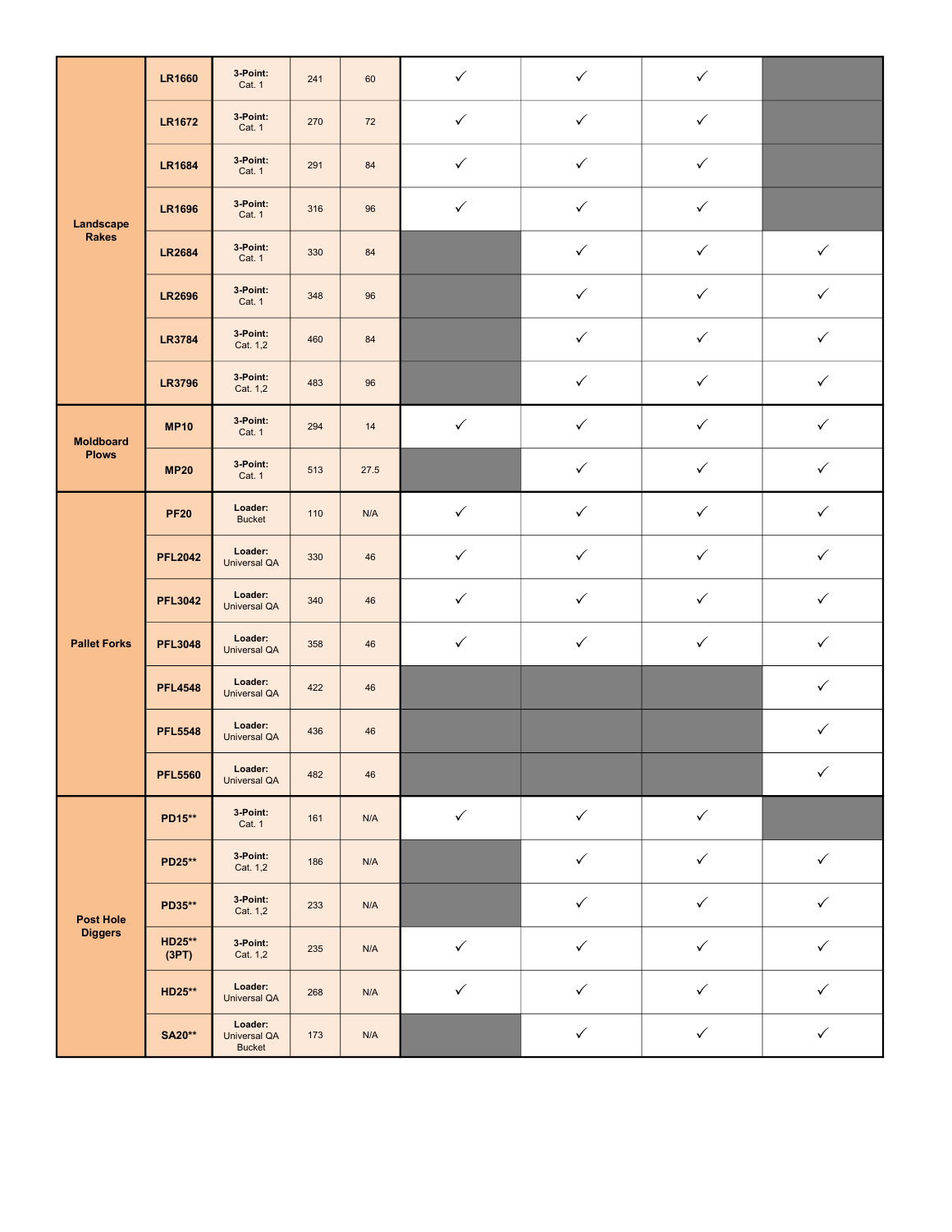|                     | <b>LR1660</b>          | 3 Point:<br>Cat. 1                              | 241 | 60   | $\checkmark$ | $\checkmark$ | $\checkmark$ |              |
|---------------------|------------------------|-------------------------------------------------|-----|------|--------------|--------------|--------------|--------------|
|                     | <b>LR1672</b>          | 3 Point:<br>Cat. 1                              | 270 | 72   | $\checkmark$ | $\checkmark$ | $\checkmark$ |              |
|                     | <b>LR1684</b>          | 3-Point:<br>Cat. 1                              | 291 | 84   | $\checkmark$ | $\checkmark$ | $\checkmark$ |              |
| Landscape           | <b>LR1696</b>          | 3 Point:<br>Cat. 1                              | 316 | 96   | $\checkmark$ | $\checkmark$ | $\checkmark$ |              |
| <b>Rakes</b>        | <b>LR2684</b>          | 3-Point:<br>Cat. 1                              | 330 | 84   |              | $\checkmark$ | $\checkmark$ | $\checkmark$ |
|                     | <b>LR2696</b>          | 3 Point:<br>Cat. 1                              | 348 | 96   |              | $\checkmark$ | ✓            | $\checkmark$ |
|                     | <b>LR3784</b>          | 3 Point:<br>Cat. 1,2                            | 460 | 84   |              | $\checkmark$ | $\checkmark$ | $\checkmark$ |
|                     | <b>LR3796</b>          | 3 Point:<br>Cat. 1,2                            | 483 | 96   |              | $\checkmark$ | $\checkmark$ | $\checkmark$ |
| <b>Moldboard</b>    | <b>MP10</b>            | 3 Point:<br>Cat. 1                              | 294 | 14   | $\checkmark$ | $\checkmark$ | $\checkmark$ | $\checkmark$ |
| <b>Plows</b>        | <b>MP20</b>            | 3 Point:<br>Cat. 1                              | 513 | 27.5 |              | $\checkmark$ | $\checkmark$ | $\checkmark$ |
|                     | <b>PF20</b>            | Loader:<br><b>Bucket</b>                        | 110 | N/A  | $\checkmark$ | $\checkmark$ | $\checkmark$ | $\checkmark$ |
|                     | <b>PFL2042</b>         | Loader:<br><b>Universal QA</b>                  | 330 | 46   | $\checkmark$ | $\checkmark$ | $\checkmark$ | $\checkmark$ |
|                     | <b>PFL3042</b>         | Loader:<br><b>Universal QA</b>                  | 340 | 46   | $\checkmark$ | $\checkmark$ | $\checkmark$ | $\checkmark$ |
| <b>Pallet Forks</b> | <b>PFL3048</b>         | Loader:<br><b>Universal QA</b>                  | 358 | 46   | $\checkmark$ | $\checkmark$ | $\checkmark$ | $\checkmark$ |
|                     | <b>PFL4548</b>         | Loader:<br><b>Universal QA</b>                  | 422 | 46   |              |              |              | $\checkmark$ |
|                     | <b>PFL5548</b>         | Loader:<br><b>Universal QA</b>                  | 436 | 46   |              |              |              | $\checkmark$ |
|                     | <b>PFL5560</b>         | Loader:<br><b>Universal QA</b>                  | 482 | 46   |              |              |              | $\checkmark$ |
|                     | PD15**                 | 3 Point:<br>Cat. 1                              | 161 | N/A  | $\checkmark$ | $\checkmark$ | $\checkmark$ |              |
|                     | PD25**                 | 3 Point:<br>Cat. 1,2                            | 186 | N/A  |              | $\checkmark$ | $\checkmark$ | $\checkmark$ |
| <b>Post Hole</b>    | PD35**                 | 3 Point:<br>Cat. 1,2                            | 233 | N/A  |              | $\checkmark$ | $\checkmark$ | $\checkmark$ |
| <b>Diggers</b>      | <b>HD25**</b><br>(3PT) | 3 Point:<br>Cat. 1,2                            | 235 | N/A  | $\checkmark$ | $\checkmark$ | $\checkmark$ | $\checkmark$ |
|                     | HD25**                 | Loader:<br><b>Universal QA</b>                  | 268 | N/A  | $\checkmark$ | $\checkmark$ | $\checkmark$ | $\checkmark$ |
|                     | <b>SA20**</b>          | Loader:<br><b>Universal QA</b><br><b>Bucket</b> | 173 | N/A  |              | $\checkmark$ | $\checkmark$ | $\checkmark$ |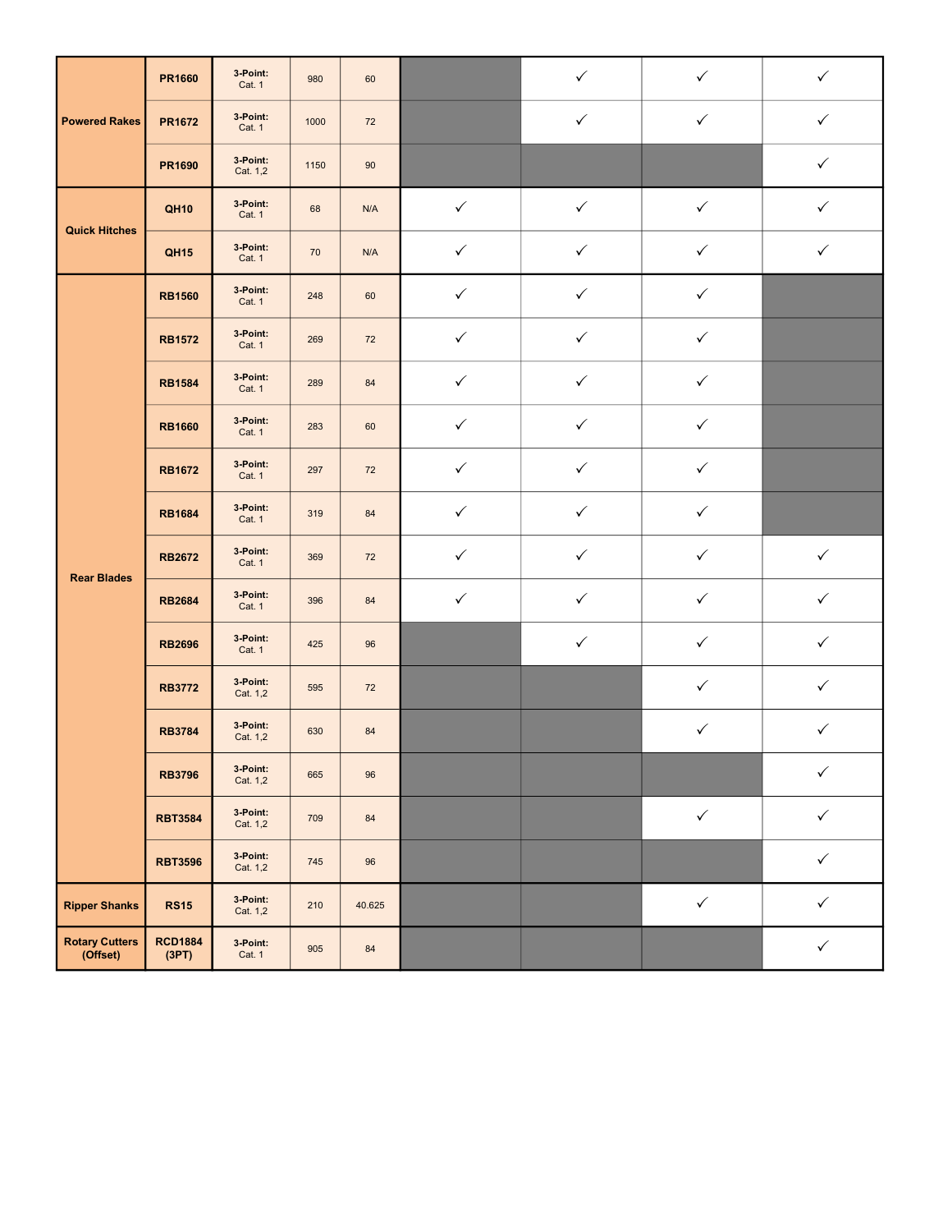|                                   | <b>PR1660</b>           | 3 Point:<br>Cat. 1   | 980  | 60     |              | $\checkmark$ | $\checkmark$ | $\checkmark$ |
|-----------------------------------|-------------------------|----------------------|------|--------|--------------|--------------|--------------|--------------|
| <b>Powered Rakes</b>              | <b>PR1672</b>           | 3-Point:<br>Cat. 1   | 1000 | 72     |              | $\checkmark$ | $\checkmark$ | $\checkmark$ |
|                                   | PR1690                  | 3 Point:<br>Cat. 1,2 | 1150 | 90     |              |              |              | ✓            |
| <b>Quick Hitches</b>              | <b>QH10</b>             | 3 Point:<br>Cat. 1   | 68   | N/A    | $\checkmark$ | $\checkmark$ | $\checkmark$ | $\checkmark$ |
|                                   | <b>QH15</b>             | 3 Point:<br>Cat. 1   | 70   | N/A    | $\checkmark$ | $\checkmark$ | $\checkmark$ | $\checkmark$ |
|                                   | <b>RB1560</b>           | 3 Point:<br>Cat. 1   | 248  | 60     | ✓            | $\checkmark$ | ✓            |              |
|                                   | <b>RB1572</b>           | 3 Point:<br>Cat. 1   | 269  | 72     | $\checkmark$ | $\checkmark$ | $\checkmark$ |              |
|                                   | <b>RB1584</b>           | 3 Point:<br>Cat. 1   | 289  | 84     | $\checkmark$ | $\checkmark$ | $\checkmark$ |              |
|                                   | <b>RB1660</b>           | 3 Point:<br>Cat. 1   | 283  | 60     | $\checkmark$ | $\checkmark$ | $\checkmark$ |              |
|                                   | <b>RB1672</b>           | 3 Point:<br>Cat. 1   | 297  | 72     | $\checkmark$ | $\checkmark$ | $\checkmark$ |              |
|                                   | <b>RB1684</b>           | 3 Point:<br>Cat. 1   | 319  | 84     | $\checkmark$ | $\checkmark$ | $\checkmark$ |              |
| <b>Rear Blades</b>                | <b>RB2672</b>           | 3-Point:<br>Cat. 1   | 369  | 72     | $\checkmark$ | $\checkmark$ | $\checkmark$ | $\checkmark$ |
|                                   | <b>RB2684</b>           | 3 Point:<br>Cat. 1   | 396  | 84     | $\checkmark$ | $\checkmark$ | $\checkmark$ | $\checkmark$ |
|                                   | <b>RB2696</b>           | 3 Point:<br>Cat. 1   | 425  | 96     |              | $\checkmark$ | $\checkmark$ | $\checkmark$ |
|                                   | <b>RB3772</b>           | 3-Point:<br>Cat. 1,2 | 595  | 72     |              |              | $\checkmark$ | $\checkmark$ |
|                                   | <b>RB3784</b>           | 3-Point:<br>Cat. 1,2 | 630  | 84     |              |              | $\checkmark$ | $\checkmark$ |
|                                   | <b>RB3796</b>           | 3-Point:<br>Cat. 1,2 | 665  | 96     |              |              |              | $\checkmark$ |
|                                   | <b>RBT3584</b>          | 3 Point:<br>Cat. 1,2 | 709  | 84     |              |              | $\checkmark$ | $\checkmark$ |
|                                   | <b>RBT3596</b>          | 3-Point:<br>Cat. 1,2 | 745  | 96     |              |              |              | $\checkmark$ |
| <b>Ripper Shanks</b>              | <b>RS15</b>             | 3 Point:<br>Cat. 1,2 | 210  | 40.625 |              |              | $\checkmark$ | $\checkmark$ |
| <b>Rotary Cutters</b><br>(Offset) | <b>RCD1884</b><br>(3PT) | 3 Point:<br>Cat. 1   | 905  | 84     |              |              |              | $\checkmark$ |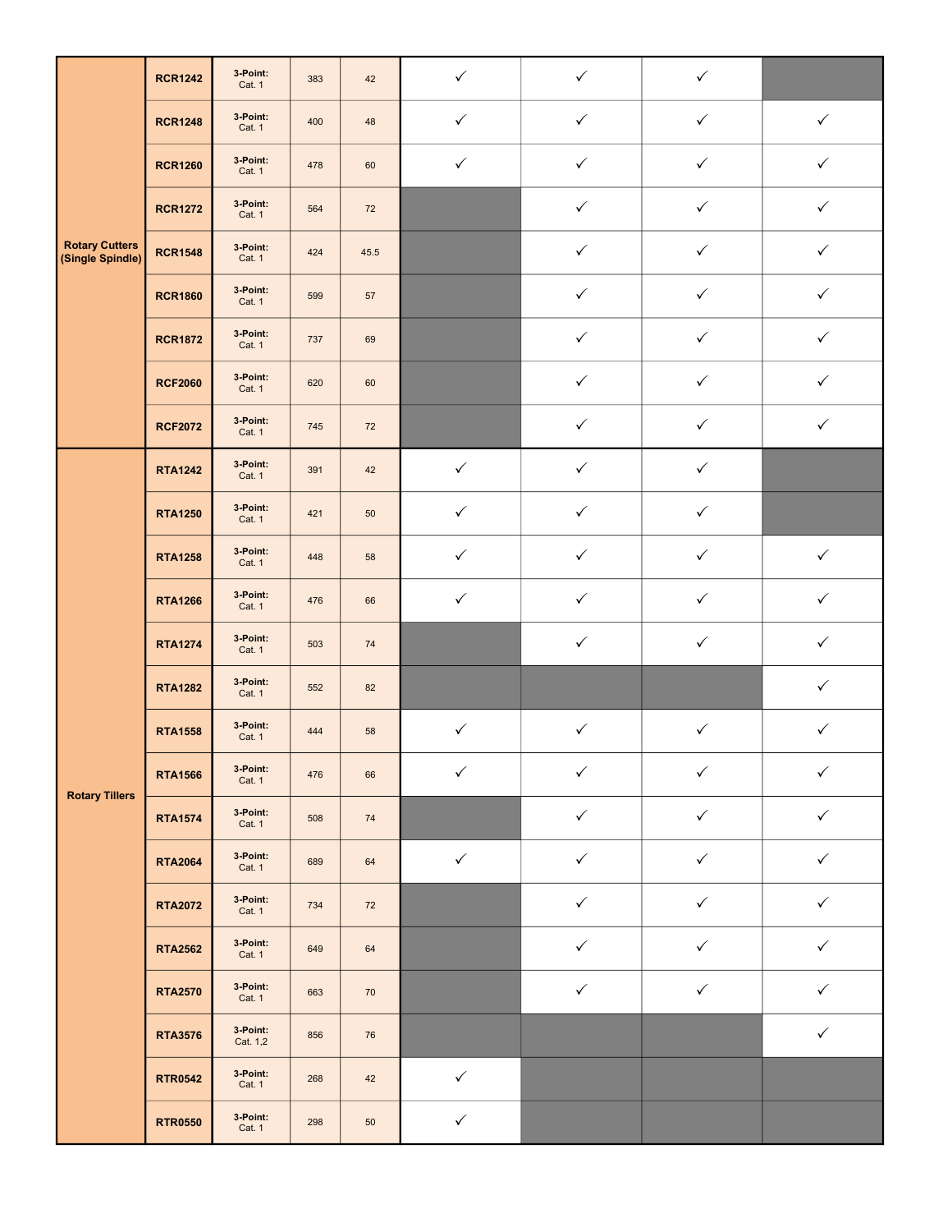|                                           | <b>RCR1242</b> | 3-Point:<br>Cat. 1        | 383 | 42   | $\checkmark$ | $\checkmark$ | $\checkmark$ |              |
|-------------------------------------------|----------------|---------------------------|-----|------|--------------|--------------|--------------|--------------|
|                                           | <b>RCR1248</b> | 3-Point:<br>Cat. 1        | 400 | 48   | $\checkmark$ | $\checkmark$ | $\checkmark$ | $\checkmark$ |
|                                           | <b>RCR1260</b> | 3 Point:<br>Cat. 1        | 478 | 60   | $\checkmark$ | $\checkmark$ | $\checkmark$ | ✓            |
|                                           | <b>RCR1272</b> | 3 Point:<br><b>Cat. 1</b> | 564 | 72   |              | $\checkmark$ | $\checkmark$ | $\checkmark$ |
| <b>Rotary Cutters</b><br>(Single Spindle) | <b>RCR1548</b> | 3-Point:<br>Cat. 1        | 424 | 45.5 |              | $\checkmark$ | $\checkmark$ | $\checkmark$ |
|                                           | <b>RCR1860</b> | 3 Point:<br>Cat. 1        | 599 | 57   |              | $\checkmark$ | $\checkmark$ | $\checkmark$ |
|                                           | <b>RCR1872</b> | 3 Point:<br>Cat. 1        | 737 | 69   |              | $\checkmark$ | $\checkmark$ | $\checkmark$ |
|                                           | <b>RCF2060</b> | 3-Point:<br>Cat. 1        | 620 | 60   |              | $\checkmark$ | $\checkmark$ | $\checkmark$ |
|                                           | <b>RCF2072</b> | 3 Point:<br>Cat. 1        | 745 | 72   |              | $\checkmark$ | $\checkmark$ | $\checkmark$ |
|                                           | <b>RTA1242</b> | 3 Point:<br>Cat. 1        | 391 | 42   | $\checkmark$ | $\checkmark$ | $\checkmark$ |              |
|                                           | <b>RTA1250</b> | 3-Point:<br>Cat. 1        | 421 | 50   | $\checkmark$ | $\checkmark$ | $\checkmark$ |              |
|                                           | <b>RTA1258</b> | 3 Point:<br>Cat. 1        | 448 | 58   | $\checkmark$ | $\checkmark$ | $\checkmark$ | $\checkmark$ |
|                                           | <b>RTA1266</b> | 3 Point:<br>Cat. 1        | 476 | 66   | $\checkmark$ | $\checkmark$ | $\checkmark$ | $\checkmark$ |
|                                           | <b>RTA1274</b> | 3 Point:<br>Cat. 1        | 503 | 74   |              | $\checkmark$ | $\checkmark$ | $\checkmark$ |
|                                           | <b>RTA1282</b> | 3 Point:<br>Cat. 1        | 552 | 82   |              |              |              | $\checkmark$ |
|                                           | <b>RTA1558</b> | 3 Point:<br>Cat. 1        | 444 | 58   | $\checkmark$ | $\checkmark$ | $\checkmark$ | $\checkmark$ |
| <b>Rotary Tillers</b>                     | <b>RTA1566</b> | 3-Point:<br>Cat. 1        | 476 | 66   | $\checkmark$ | $\checkmark$ | $\checkmark$ | $\checkmark$ |
|                                           | <b>RTA1574</b> | 3 Point:<br>Cat. 1        | 508 | 74   |              | $\checkmark$ | $\checkmark$ | $\checkmark$ |
|                                           | <b>RTA2064</b> | 3 Point:<br>Cat. 1        | 689 | 64   | $\checkmark$ | $\checkmark$ | $\checkmark$ | $\checkmark$ |
|                                           | <b>RTA2072</b> | 3-Point:<br>Cat. 1        | 734 | 72   |              | $\checkmark$ | $\checkmark$ | $\checkmark$ |
|                                           | <b>RTA2562</b> | 3-Point:<br>Cat. 1        | 649 | 64   |              | $\checkmark$ | $\checkmark$ | $\checkmark$ |
|                                           | <b>RTA2570</b> | 3-Point:<br>Cat. 1        | 663 | 70   |              | $\checkmark$ | $\checkmark$ | $\checkmark$ |
|                                           | <b>RTA3576</b> | 3-Point:<br>Cat. 1,2      | 856 | 76   |              |              |              | $\checkmark$ |
|                                           | <b>RTR0542</b> | 3-Point:<br>Cat. 1        | 268 | 42   | $\checkmark$ |              |              |              |
|                                           | <b>RTR0550</b> | 3 Point:<br>Cat. 1        | 298 | 50   | $\checkmark$ |              |              |              |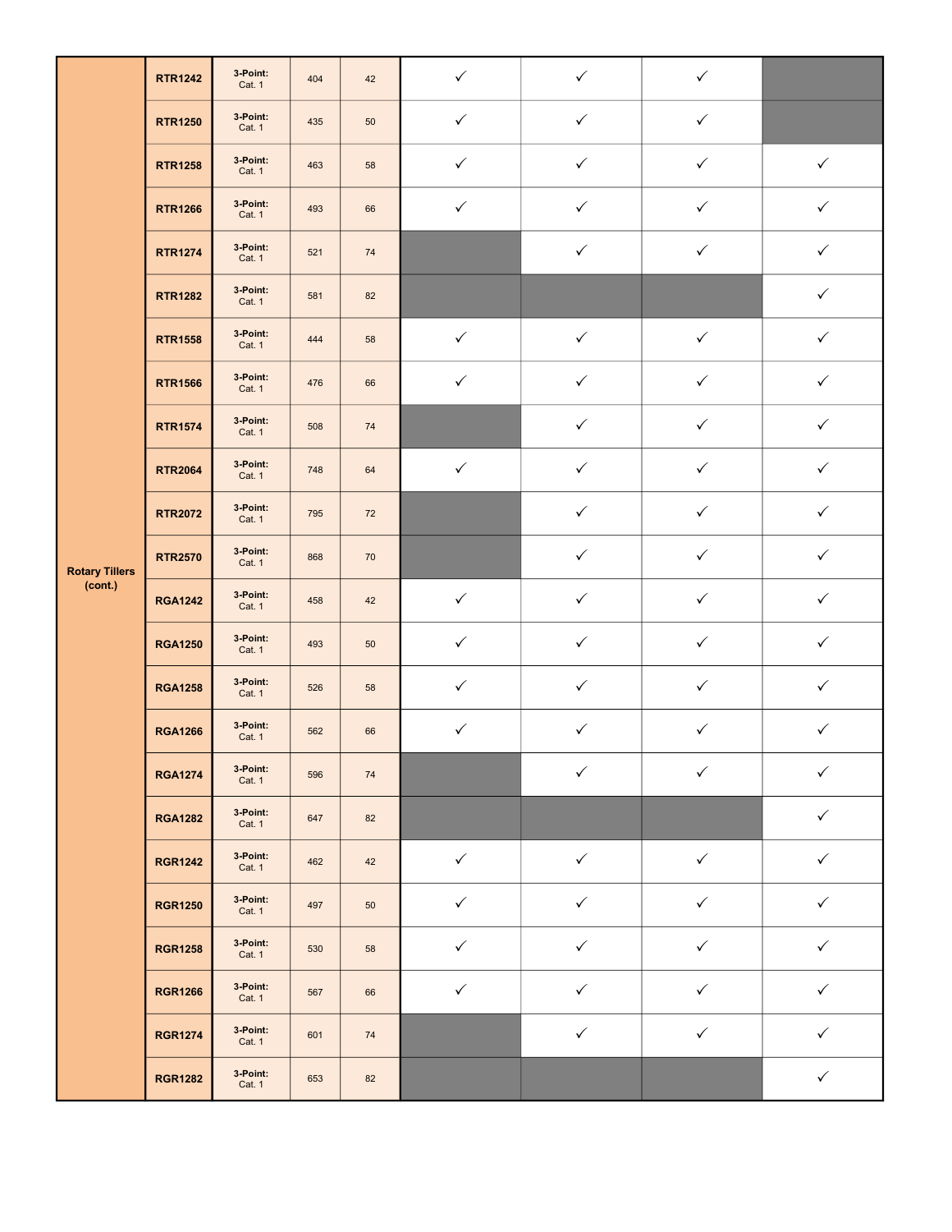|                       | <b>RTR1242</b> | 3 Point:<br>Cat. 1 | 404 | 42 | $\checkmark$ | $\checkmark$ | $\checkmark$ |              |
|-----------------------|----------------|--------------------|-----|----|--------------|--------------|--------------|--------------|
|                       | <b>RTR1250</b> | 3-Point:<br>Cat. 1 | 435 | 50 | $\checkmark$ | $\checkmark$ | $\checkmark$ |              |
|                       | <b>RTR1258</b> | 3-Point:<br>Cat. 1 | 463 | 58 | $\checkmark$ | $\checkmark$ | $\checkmark$ | $\checkmark$ |
|                       | <b>RTR1266</b> | 3-Point:<br>Cat. 1 | 493 | 66 | $\checkmark$ | $\checkmark$ | $\checkmark$ | $\checkmark$ |
|                       | <b>RTR1274</b> | 3-Point:<br>Cat. 1 | 521 | 74 |              | $\checkmark$ | $\checkmark$ | $\checkmark$ |
|                       | <b>RTR1282</b> | 3-Point:<br>Cat. 1 | 581 | 82 |              |              |              | $\checkmark$ |
|                       | <b>RTR1558</b> | 3-Point:<br>Cat. 1 | 444 | 58 | $\checkmark$ | $\checkmark$ | $\checkmark$ | $\checkmark$ |
|                       | <b>RTR1566</b> | 3-Point:<br>Cat. 1 | 476 | 66 | $\checkmark$ | $\checkmark$ | $\checkmark$ | $\checkmark$ |
|                       | <b>RTR1574</b> | 3-Point:<br>Cat. 1 | 508 | 74 |              | $\checkmark$ | $\checkmark$ | $\checkmark$ |
|                       | <b>RTR2064</b> | 3-Point:<br>Cat. 1 | 748 | 64 | $\checkmark$ | $\checkmark$ | $\checkmark$ | $\checkmark$ |
|                       | <b>RTR2072</b> | 3-Point:<br>Cat. 1 | 795 | 72 |              | $\checkmark$ | $\checkmark$ | $\checkmark$ |
| <b>Rotary Tillers</b> | <b>RTR2570</b> | 3-Point:<br>Cat. 1 | 868 | 70 |              | $\checkmark$ | $\checkmark$ | $\checkmark$ |
| (cont.)               | <b>RGA1242</b> | 3-Point:<br>Cat. 1 | 458 | 42 | $\checkmark$ | $\checkmark$ | $\checkmark$ | $\checkmark$ |
|                       | <b>RGA1250</b> | 3-Point:<br>Cat. 1 | 493 | 50 | $\checkmark$ | $\checkmark$ | $\checkmark$ | $\checkmark$ |
|                       | <b>RGA1258</b> | 3-Point:<br>Cat. 1 | 526 | 58 | $\checkmark$ | $\checkmark$ | $\checkmark$ | $\checkmark$ |
|                       | <b>RGA1266</b> | 3 Point:<br>Cat. 1 | 562 | 66 | $\checkmark$ | $\checkmark$ | $\checkmark$ | $\checkmark$ |
|                       | <b>RGA1274</b> | 3-Point:<br>Cat. 1 | 596 | 74 |              | $\checkmark$ | $\checkmark$ | $\checkmark$ |
|                       | <b>RGA1282</b> | 3-Point:<br>Cat. 1 | 647 | 82 |              |              |              | $\checkmark$ |
|                       | <b>RGR1242</b> | 3-Point:<br>Cat. 1 | 462 | 42 | $\checkmark$ | $\checkmark$ | $\checkmark$ | $\checkmark$ |
|                       | <b>RGR1250</b> | 3-Point:<br>Cat. 1 | 497 | 50 | $\checkmark$ | $\checkmark$ | $\checkmark$ | $\checkmark$ |
|                       | <b>RGR1258</b> | 3 Point:<br>Cat. 1 | 530 | 58 | $\checkmark$ | $\checkmark$ | $\checkmark$ | $\checkmark$ |
|                       | <b>RGR1266</b> | 3-Point:<br>Cat. 1 | 567 | 66 | $\checkmark$ | $\checkmark$ | $\checkmark$ | $\checkmark$ |
|                       | <b>RGR1274</b> | 3-Point:<br>Cat. 1 | 601 | 74 |              | $\checkmark$ | $\checkmark$ | $\checkmark$ |
|                       | <b>RGR1282</b> | 3 Point:<br>Cat. 1 | 653 | 82 |              |              |              | $\checkmark$ |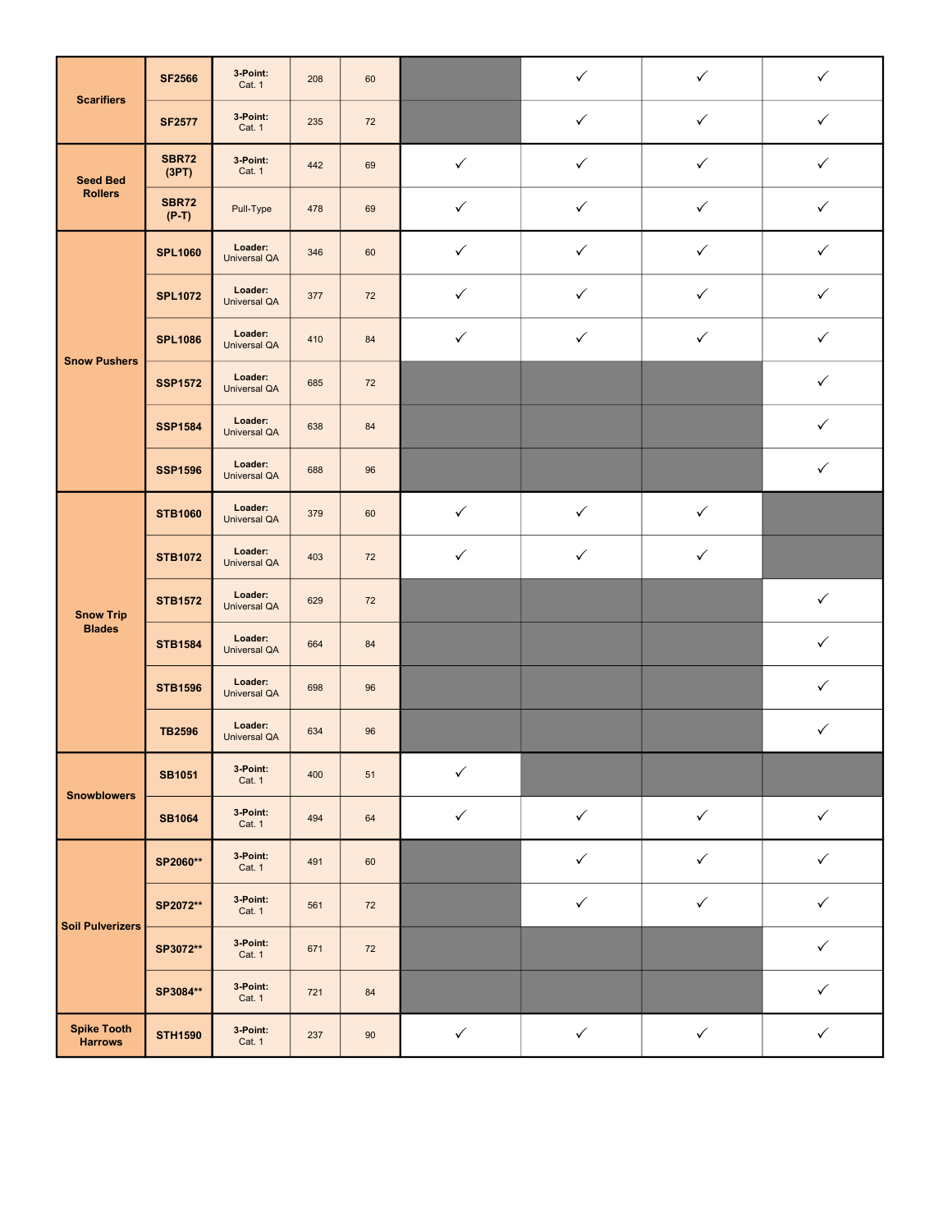| <b>Scarifiers</b>                    | <b>SF2566</b>           | 3 Point:<br>Cat. 1             | 208 | 60 |              | $\checkmark$ | $\checkmark$ | ✓            |
|--------------------------------------|-------------------------|--------------------------------|-----|----|--------------|--------------|--------------|--------------|
|                                      | <b>SF2577</b>           | 3 Point:<br>Cat. 1             | 235 | 72 |              | $\checkmark$ | $\checkmark$ | $\checkmark$ |
| <b>Seed Bed</b>                      | <b>SBR72</b><br>(3PT)   | 3 Point:<br>Cat. 1             | 442 | 69 | $\checkmark$ | $\checkmark$ | $\checkmark$ | $\checkmark$ |
| <b>Rollers</b>                       | <b>SBR72</b><br>$(P-T)$ | Pull-Type                      | 478 | 69 | $\checkmark$ | $\checkmark$ | $\checkmark$ | $\checkmark$ |
|                                      | <b>SPL1060</b>          | Loader:<br><b>Universal QA</b> | 346 | 60 | $\checkmark$ | $\checkmark$ | $\checkmark$ | $\checkmark$ |
|                                      | <b>SPL1072</b>          | Loader:<br><b>Universal QA</b> | 377 | 72 | $\checkmark$ | ✓            | ✓            | ✓            |
| <b>Snow Pushers</b>                  | <b>SPL1086</b>          | Loader:<br><b>Universal QA</b> | 410 | 84 | $\checkmark$ | $\checkmark$ | $\checkmark$ | $\checkmark$ |
|                                      | <b>SSP1572</b>          | Loader:<br><b>Universal QA</b> | 685 | 72 |              |              |              | $\checkmark$ |
|                                      | <b>SSP1584</b>          | Loader:<br><b>Universal QA</b> | 638 | 84 |              |              |              | ✓            |
|                                      | <b>SSP1596</b>          | Loader:<br><b>Universal QA</b> | 688 | 96 |              |              |              | $\checkmark$ |
| <b>Snow Trip</b>                     | <b>STB1060</b>          | Loader:<br><b>Universal QA</b> | 379 | 60 | $\checkmark$ | $\checkmark$ | $\checkmark$ |              |
|                                      | <b>STB1072</b>          | Loader:<br><b>Universal QA</b> | 403 | 72 | $\checkmark$ | $\checkmark$ | $\checkmark$ |              |
|                                      | <b>STB1572</b>          | Loader:<br><b>Universal QA</b> | 629 | 72 |              |              |              | $\checkmark$ |
| <b>Blades</b>                        | <b>STB1584</b>          | Loader:<br><b>Universal QA</b> | 664 | 84 |              |              |              | $\checkmark$ |
|                                      | <b>STB1596</b>          | Loader:<br><b>Universal QA</b> | 698 | 96 |              |              |              | ✓            |
|                                      | <b>TB2596</b>           | Loader:<br><b>Universal QA</b> | 634 | 96 |              |              |              | $\checkmark$ |
| <b>Snowblowers</b>                   | <b>SB1051</b>           | 3 Point:<br>Cat. 1             | 400 | 51 | $\checkmark$ |              |              |              |
|                                      | <b>SB1064</b>           | 3 Point:<br>Cat. 1             | 494 | 64 | $\checkmark$ | $\checkmark$ | $\checkmark$ | $\checkmark$ |
|                                      | SP2060**                | 3 Point:<br>Cat. 1             | 491 | 60 |              | $\checkmark$ | $\checkmark$ | $\checkmark$ |
| <b>Soil Pulverizers</b>              | SP2072**                | 3 Point:<br>Cat. 1             | 561 | 72 |              | $\checkmark$ | $\checkmark$ | $\checkmark$ |
|                                      | SP3072**                | 3 Point:<br>Cat. 1             | 671 | 72 |              |              |              | $\checkmark$ |
|                                      | SP3084**                | 3 Point:<br>Cat. 1             | 721 | 84 |              |              |              | $\checkmark$ |
| <b>Spike Tooth</b><br><b>Harrows</b> | <b>STH1590</b>          | 3 Point:<br>Cat. 1             | 237 | 90 | $\checkmark$ | $\checkmark$ | $\checkmark$ | $\checkmark$ |